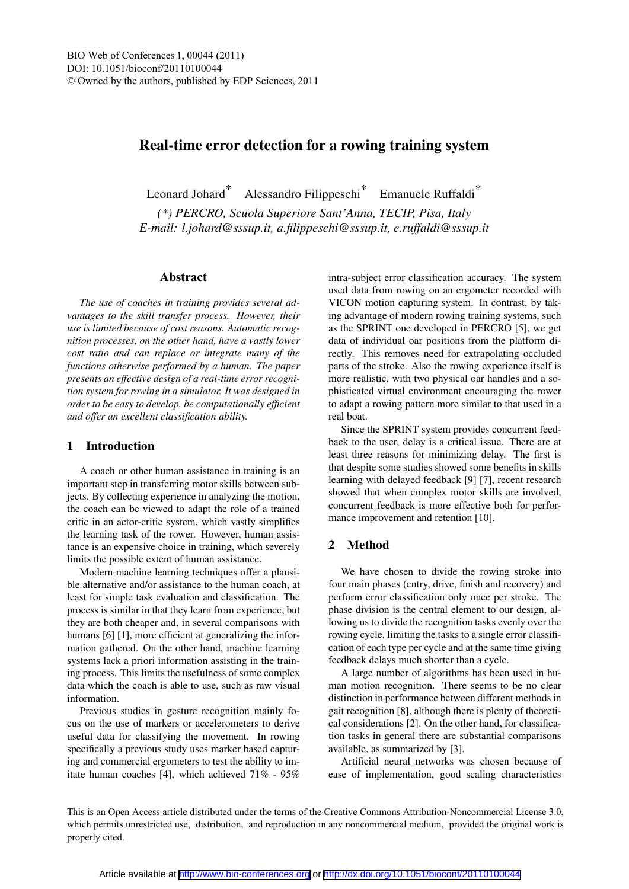# Real-time error detection for a rowing training system

Leonard Johard\* Alessandro Filippeschi\* Emanuele Ruffaldi\*

*(\*) PERCRO, Scuola Superiore Sant'Anna, TECIP, Pisa, Italy E-mail: l.johard@sssup.it, a.filippeschi@sssup.it, e.ruffaldi@sssup.it*

#### Abstract

*The use of coaches in training provides several advantages to the skill transfer process. However, their use is limited because of cost reasons. Automatic recognition processes, on the other hand, have a vastly lower cost ratio and can replace or integrate many of the functions otherwise performed by a human. The paper presents an effective design of a real-time error recognition system for rowing in a simulator. It was designed in order to be easy to develop, be computationally efficient and offer an excellent classification ability.*

## 1 Introduction

A coach or other human assistance in training is an important step in transferring motor skills between subjects. By collecting experience in analyzing the motion, the coach can be viewed to adapt the role of a trained critic in an actor-critic system, which vastly simplifies the learning task of the rower. However, human assistance is an expensive choice in training, which severely limits the possible extent of human assistance.

Modern machine learning techniques offer a plausible alternative and/or assistance to the human coach, at least for simple task evaluation and classification. The process is similar in that they learn from experience, but they are both cheaper and, in several comparisons with humans [6] [1], more efficient at generalizing the information gathered. On the other hand, machine learning systems lack a priori information assisting in the training process. This limits the usefulness of some complex data which the coach is able to use, such as raw visual information.

Previous studies in gesture recognition mainly focus on the use of markers or accelerometers to derive useful data for classifying the movement. In rowing specifically a previous study uses marker based capturing and commercial ergometers to test the ability to imitate human coaches [4], which achieved 71% - 95%

intra-subject error classification accuracy. The system used data from rowing on an ergometer recorded with VICON motion capturing system. In contrast, by taking advantage of modern rowing training systems, such as the SPRINT one developed in PERCRO [5], we get data of individual oar positions from the platform directly. This removes need for extrapolating occluded parts of the stroke. Also the rowing experience itself is more realistic, with two physical oar handles and a sophisticated virtual environment encouraging the rower to adapt a rowing pattern more similar to that used in a real boat.

Since the SPRINT system provides concurrent feedback to the user, delay is a critical issue. There are at least three reasons for minimizing delay. The first is that despite some studies showed some benefits in skills learning with delayed feedback [9] [7], recent research showed that when complex motor skills are involved, concurrent feedback is more effective both for performance improvement and retention [10].

# 2 Method

We have chosen to divide the rowing stroke into four main phases (entry, drive, finish and recovery) and perform error classification only once per stroke. The phase division is the central element to our design, allowing us to divide the recognition tasks evenly over the rowing cycle, limiting the tasks to a single error classification of each type per cycle and at the same time giving feedback delays much shorter than a cycle.

A large number of algorithms has been used in human motion recognition. There seems to be no clear distinction in performance between different methods in gait recognition [8], although there is plenty of theoretical considerations [2]. On the other hand, for classification tasks in general there are substantial comparisons available, as summarized by [3].

Artificial neural networks was chosen because of ease of implementation, good scaling characteristics

This is an Open Access article distributed under the terms of the Creative Commons Attribution-Noncommercial License 3.0, which permits unrestricted use, distribution, and reproduction in any noncommercial medium, provided the original work is properly cited.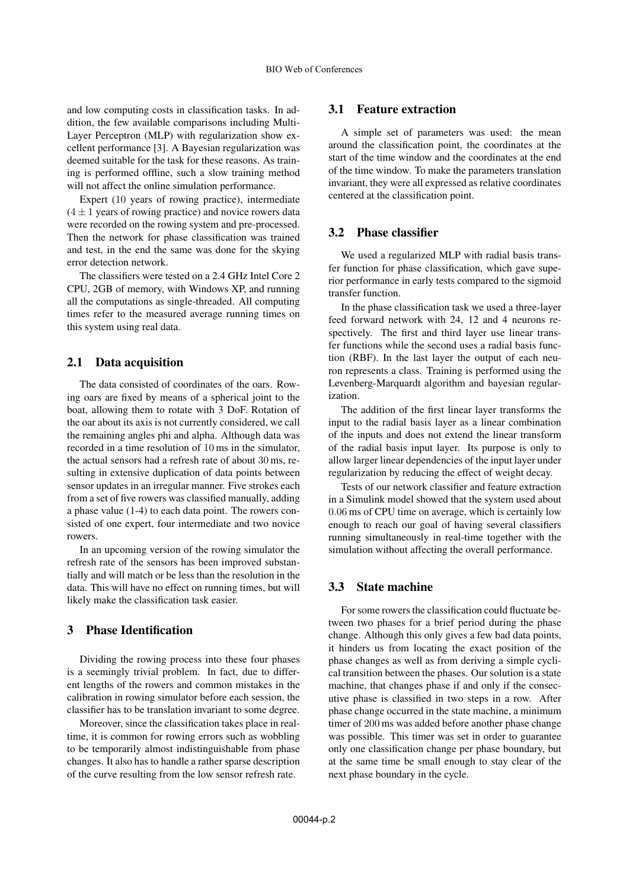and low computing costs in classification tasks. In addition, the few available comparisons including Multi-Layer Perceptron (MLP) with regularization show excellent performance [3]. A Bayesian regularization was deemed suitable for the task for these reasons. As training is performed offline, such a slow training method will not affect the online simulation performance.

Expert (10 years of rowing practice), intermediate  $(4 \pm 1)$  years of rowing practice) and novice rowers data were recorded on the rowing system and pre-processed. Then the network for phase classification was trained and test, in the end the same was done for the skying error detection network.

The classifiers were tested on a 2.4 GHz Intel Core 2 CPU, 2GB of memory, with Windows XP, and running all the computations as single-threaded. All computing times refer to the measured average running times on this system using real data.

### 2.1 Data acquisition

The data consisted of coordinates of the oars. Rowing oars are fixed by means of a spherical joint to the boat, allowing them to rotate with 3 DoF. Rotation of the oar about its axis is not currently considered, we call the remaining angles phi and alpha. Although data was recorded in a time resolution of 10 ms in the simulator, the actual sensors had a refresh rate of about 30 ms, resulting in extensive duplication of data points between sensor updates in an irregular manner. Five strokes each from a set of five rowers was classified manually, adding a phase value (1-4) to each data point. The rowers consisted of one expert, four intermediate and two novice rowers.

In an upcoming version of the rowing simulator the refresh rate of the sensors has been improved substantially and will match or be less than the resolution in the data. This will have no effect on running times, but will likely make the classification task easier.

# 3 Phase Identification

Dividing the rowing process into these four phases is a seemingly trivial problem. In fact, due to different lengths of the rowers and common mistakes in the calibration in rowing simulator before each session, the classifier has to be translation invariant to some degree.

Moreover, since the classification takes place in realtime, it is common for rowing errors such as wobbling to be temporarily almost indistinguishable from phase changes. It also has to handle a rather sparse description of the curve resulting from the low sensor refresh rate.

### 3.1 Feature extraction

A simple set of parameters was used: the mean around the classification point, the coordinates at the start of the time window and the coordinates at the end of the time window. To make the parameters translation invariant, they were all expressed as relative coordinates centered at the classification point.

### 3.2 Phase classifier

We used a regularized MLP with radial basis transfer function for phase classification, which gave superior performance in early tests compared to the sigmoid transfer function.

In the phase classification task we used a three-layer feed forward network with 24, 12 and 4 neurons respectively. The first and third layer use linear transfer functions while the second uses a radial basis function (RBF). In the last layer the output of each neuron represents a class. Training is performed using the Levenberg-Marquardt algorithm and bayesian regularization.

The addition of the first linear layer transforms the input to the radial basis layer as a linear combination of the inputs and does not extend the linear transform of the radial basis input layer. Its purpose is only to allow larger linear dependencies of the input layer under regularization by reducing the effect of weight decay.

Tests of our network classifier and feature extraction in a Simulink model showed that the system used about 0.06 ms of CPU time on average, which is certainly low enough to reach our goal of having several classifiers running simultaneously in real-time together with the simulation without affecting the overall performance.

### 3.3 State machine

For some rowers the classification could fluctuate between two phases for a brief period during the phase change. Although this only gives a few bad data points, it hinders us from locating the exact position of the phase changes as well as from deriving a simple cyclical transition between the phases. Our solution is a state machine, that changes phase if and only if the consecutive phase is classified in two steps in a row. After phase change occurred in the state machine, a minimum timer of 200 ms was added before another phase change was possible. This timer was set in order to guarantee only one classification change per phase boundary, but at the same time be small enough to stay clear of the next phase boundary in the cycle.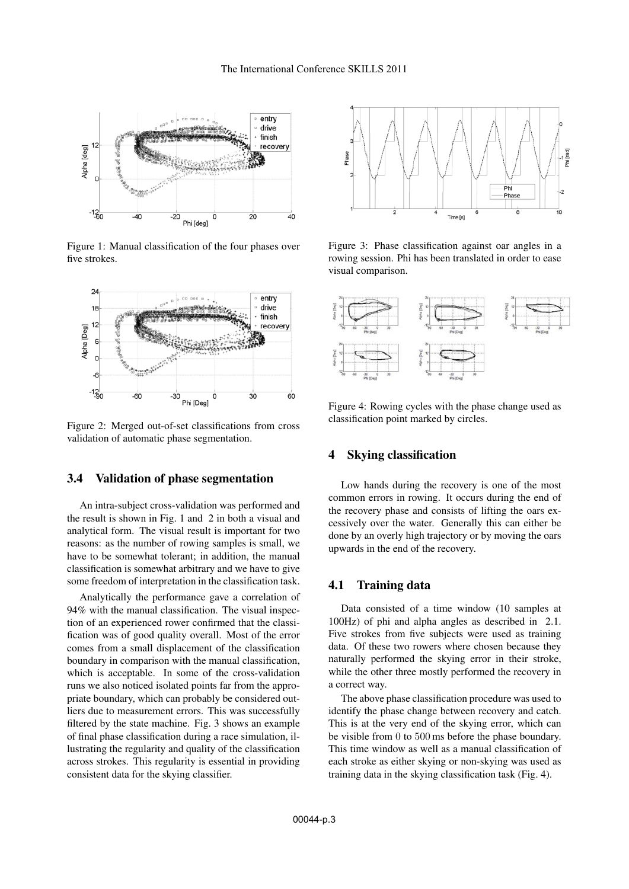

Figure 1: Manual classification of the four phases over five strokes.



Figure 2: Merged out-of-set classifications from cross validation of automatic phase segmentation.

# 3.4 Validation of phase segmentation

An intra-subject cross-validation was performed and the result is shown in Fig. 1 and 2 in both a visual and analytical form. The visual result is important for two reasons: as the number of rowing samples is small, we have to be somewhat tolerant; in addition, the manual classification is somewhat arbitrary and we have to give some freedom of interpretation in the classification task.

Analytically the performance gave a correlation of 94% with the manual classification. The visual inspection of an experienced rower confirmed that the classification was of good quality overall. Most of the error comes from a small displacement of the classification boundary in comparison with the manual classification, which is acceptable. In some of the cross-validation runs we also noticed isolated points far from the appropriate boundary, which can probably be considered outliers due to measurement errors. This was successfully filtered by the state machine. Fig. 3 shows an example of final phase classification during a race simulation, illustrating the regularity and quality of the classification across strokes. This regularity is essential in providing consistent data for the skying classifier.



Figure 3: Phase classification against oar angles in a rowing session. Phi has been translated in order to ease visual comparison.



Figure 4: Rowing cycles with the phase change used as classification point marked by circles.

# 4 Skying classification

Low hands during the recovery is one of the most common errors in rowing. It occurs during the end of the recovery phase and consists of lifting the oars excessively over the water. Generally this can either be done by an overly high trajectory or by moving the oars upwards in the end of the recovery.

#### 4.1 Training data

Data consisted of a time window (10 samples at 100Hz) of phi and alpha angles as described in 2.1. Five strokes from five subjects were used as training data. Of these two rowers where chosen because they naturally performed the skying error in their stroke, while the other three mostly performed the recovery in a correct way.

The above phase classification procedure was used to identify the phase change between recovery and catch. This is at the very end of the skying error, which can be visible from 0 to 500 ms before the phase boundary. This time window as well as a manual classification of each stroke as either skying or non-skying was used as training data in the skying classification task (Fig. 4).